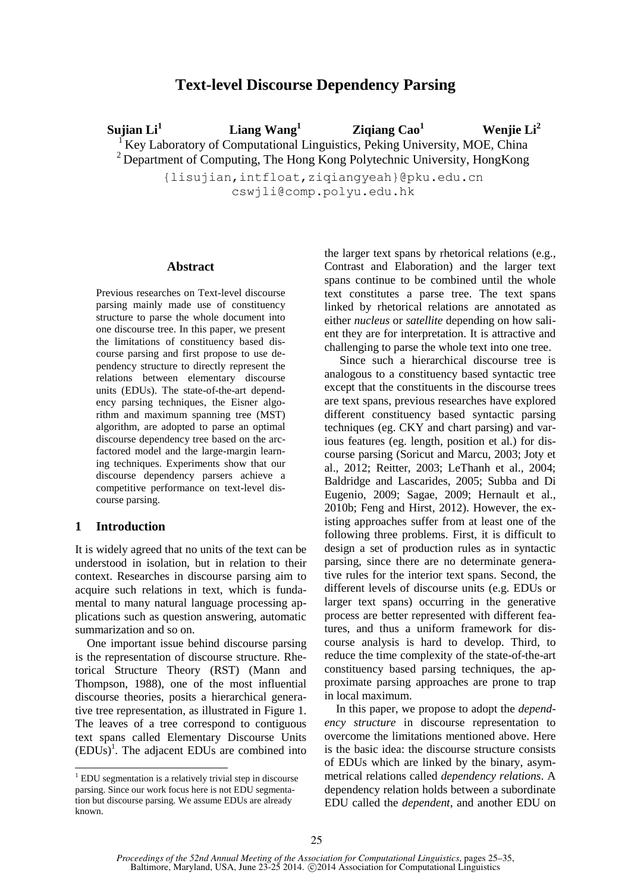# **Text-level Discourse Dependency Parsing**

**Sujian Li<sup>1</sup> Liang Wang<sup>1</sup> Ziqiang Cao<sup>1</sup> Wenjie Li<sup>2</sup>** <sup>1</sup> Key Laboratory of Computational Linguistics, Peking University, MOE, China  $2$  Department of Computing, The Hong Kong Polytechnic University, Hong Kong {lisujian,intfloat,ziqiangyeah}@pku.edu.cn

cswjli@comp.polyu.edu.hk

#### **Abstract**

Previous researches on Text-level discourse parsing mainly made use of constituency structure to parse the whole document into one discourse tree. In this paper, we present the limitations of constituency based discourse parsing and first propose to use dependency structure to directly represent the relations between elementary discourse units (EDUs). The state-of-the-art dependency parsing techniques, the Eisner algorithm and maximum spanning tree (MST) algorithm, are adopted to parse an optimal discourse dependency tree based on the arcfactored model and the large-margin learning techniques. Experiments show that our discourse dependency parsers achieve a competitive performance on text-level discourse parsing.

### **1 Introduction**

-

It is widely agreed that no units of the text can be understood in isolation, but in relation to their context. Researches in discourse parsing aim to acquire such relations in text, which is fundamental to many natural language processing applications such as question answering, automatic summarization and so on.

One important issue behind discourse parsing is the representation of discourse structure. Rhetorical Structure Theory (RST) (Mann and Thompson, 1988), one of the most influential discourse theories, posits a hierarchical generative tree representation, as illustrated in Figure 1. The leaves of a tree correspond to contiguous text spans called Elementary Discourse Units  $(EDUs)^{1}$ . The adjacent EDUs are combined into the larger text spans by rhetorical relations (e.g., Contrast and Elaboration) and the larger text spans continue to be combined until the whole text constitutes a parse tree. The text spans linked by rhetorical relations are annotated as either *nucleus* or *satellite* depending on how salient they are for interpretation. It is attractive and challenging to parse the whole text into one tree.

Since such a hierarchical discourse tree is analogous to a constituency based syntactic tree except that the constituents in the discourse trees are text spans, previous researches have explored different constituency based syntactic parsing techniques (eg. CKY and chart parsing) and various features (eg. length, position et al.) for discourse parsing (Soricut and Marcu, 2003; Joty et al., 2012; Reitter, 2003; LeThanh et al., 2004; Baldridge and Lascarides, 2005; Subba and Di Eugenio, 2009; Sagae, 2009; Hernault et al., 2010b; Feng and Hirst, 2012). However, the existing approaches suffer from at least one of the following three problems. First, it is difficult to design a set of production rules as in syntactic parsing, since there are no determinate generative rules for the interior text spans. Second, the different levels of discourse units (e.g. EDUs or larger text spans) occurring in the generative process are better represented with different features, and thus a uniform framework for discourse analysis is hard to develop. Third, to reduce the time complexity of the state-of-the-art constituency based parsing techniques, the approximate parsing approaches are prone to trap in local maximum.

In this paper, we propose to adopt the *dependency structure* in discourse representation to overcome the limitations mentioned above. Here is the basic idea: the discourse structure consists of EDUs which are linked by the binary, asymmetrical relations called *dependency relations*. A dependency relation holds between a subordinate EDU called the *dependent*, and another EDU on

<sup>&</sup>lt;sup>1</sup> EDU segmentation is a relatively trivial step in discourse parsing. Since our work focus here is not EDU segmentation but discourse parsing. We assume EDUs are already known.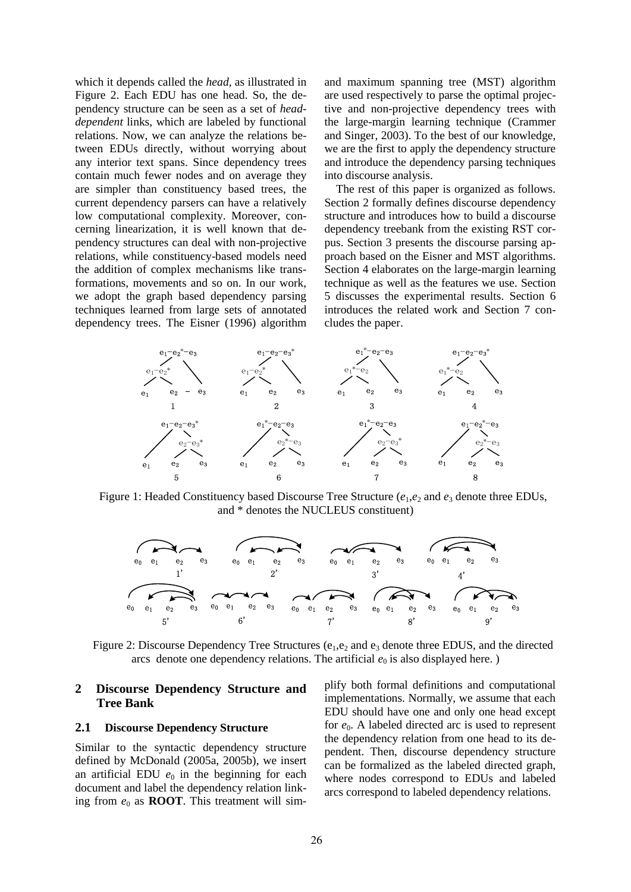which it depends called the *head*, as illustrated in Figure 2. Each EDU has one head. So, the dependency structure can be seen as a set of *headdependent* links, which are labeled by functional relations. Now, we can analyze the relations between EDUs directly, without worrying about any interior text spans. Since dependency trees contain much fewer nodes and on average they are simpler than constituency based trees, the current dependency parsers can have a relatively low computational complexity. Moreover, concerning linearization, it is well known that dependency structures can deal with non-projective relations, while constituency-based models need the addition of complex mechanisms like transformations, movements and so on. In our work, we adopt the graph based dependency parsing techniques learned from large sets of annotated dependency trees. The Eisner (1996) algorithm and maximum spanning tree (MST) algorithm are used respectively to parse the optimal projective and non-projective dependency trees with the large-margin learning technique (Crammer and Singer, 2003). To the best of our knowledge, we are the first to apply the dependency structure and introduce the dependency parsing techniques into discourse analysis.

The rest of this paper is organized as follows. Section 2 formally defines discourse dependency structure and introduces how to build a discourse dependency treebank from the existing RST corpus. Section 3 presents the discourse parsing approach based on the Eisner and MST algorithms. Section 4 elaborates on the large-margin learning technique as well as the features we use. Section 5 discusses the experimental results. Section 6 introduces the related work and Section 7 concludes the paper.



Figure 1: Headed Constituency based Discourse Tree Structure ( $e_1$ , $e_2$  and  $e_3$  denote three EDUs, and \* denotes the NUCLEUS constituent)



Figure 2: Discourse Dependency Tree Structures ( $e_1, e_2$  and  $e_3$  denote three EDUS, and the directed arcs denote one dependency relations. The artificial  $e_0$  is also displayed here.)

## **2 Discourse Dependency Structure and Tree Bank**

#### **2.1 Discourse Dependency Structure**

Similar to the syntactic dependency structure defined by McDonald (2005a, 2005b), we insert an artificial EDU  $e_0$  in the beginning for each document and label the dependency relation linking from  $e_0$  as **ROOT**. This treatment will simplify both formal definitions and computational implementations. Normally, we assume that each EDU should have one and only one head except for *e*0. A labeled directed arc is used to represent the dependency relation from one head to its dependent. Then, discourse dependency structure can be formalized as the labeled directed graph, where nodes correspond to EDUs and labeled arcs correspond to labeled dependency relations.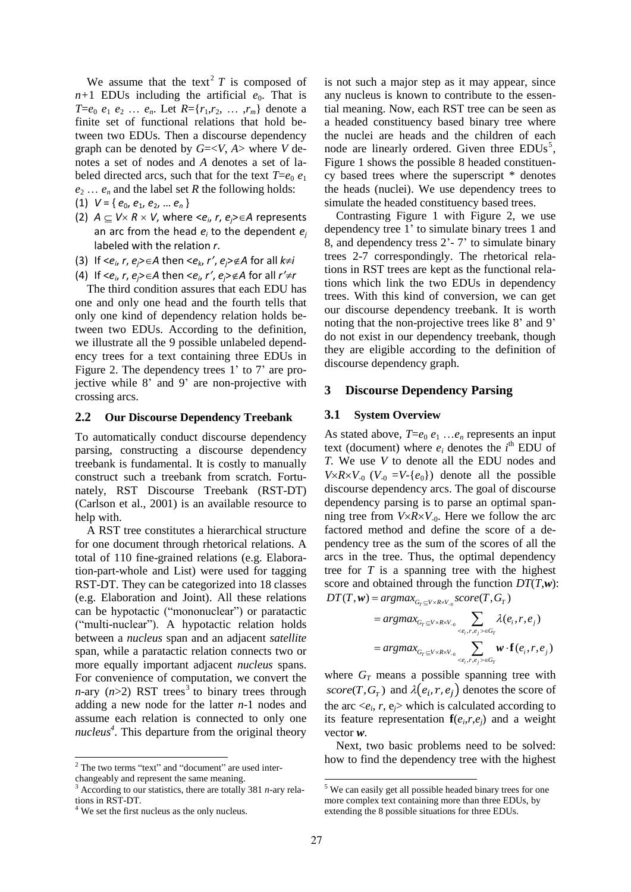We assume that the text<sup>2</sup>  $T$  is composed of  $n+1$  EDUs including the artificial  $e_0$ . That is *T*= $e_0$   $e_1$   $e_2$  …  $e_n$ . Let  $R = \{r_1, r_2, \ldots, r_m\}$  denote a finite set of functional relations that hold between two EDUs. Then a discourse dependency graph can be denoted by *G*=<*V*, *A*> where *V* denotes a set of nodes and *A* denotes a set of labeled directed arcs, such that for the text  $T=e_0 e_1$  $e_2 \ldots e_n$  and the label set *R* the following holds:

(1)  $V = \{e_0, e_1, e_2, \dots e_n\}$ 

- (2)  $A \subseteq V \times R \times V$ , where  $\langle e_i, r, e_j \rangle \in A$  represents an arc from the head *e<sup>i</sup>* to the dependent *e<sup>j</sup>* labeled with the relation *r*.
- (3) If  $\langle e_i, r, e_j \rangle \in A$  then  $\langle e_k, r', e_j \rangle \notin A$  for all  $k \neq i$
- (4) If  $\langle e_i, r, e_j \rangle \in A$  then  $\langle e_i, r', e_j \rangle \notin A$  for all  $r' \neq r$

The third condition assures that each EDU has one and only one head and the fourth tells that only one kind of dependency relation holds between two EDUs. According to the definition, we illustrate all the 9 possible unlabeled dependency trees for a text containing three EDUs in Figure 2. The dependency trees 1' to 7' are projective while 8' and 9' are non-projective with crossing arcs.

#### **2.2 Our Discourse Dependency Treebank**

To automatically conduct discourse dependency parsing, constructing a discourse dependency treebank is fundamental. It is costly to manually construct such a treebank from scratch. Fortunately, RST Discourse Treebank (RST-DT) (Carlson et al., 2001) is an available resource to help with.

A RST tree constitutes a hierarchical structure for one document through rhetorical relations. A total of 110 fine-grained relations (e.g. Elaboration-part-whole and List) were used for tagging RST-DT. They can be categorized into 18 classes (e.g. Elaboration and Joint). All these relations can be hypotactic ("mononuclear") or paratactic ("multi-nuclear"). A hypotactic relation holds between a *nucleus* span and an adjacent *satellite*  span, while a paratactic relation connects two or more equally important adjacent *nucleus* spans. For convenience of computation, we convert the *n*-ary ( $n > 2$ ) RST trees<sup>3</sup> to binary trees through adding a new node for the latter *n*-1 nodes and assume each relation is connected to only one *nucleus 4* . This departure from the original theory

1

is not such a major step as it may appear, since any nucleus is known to contribute to the essential meaning. Now, each RST tree can be seen as a headed constituency based binary tree where the nuclei are heads and the children of each node are linearly ordered. Given three EDUs<sup>5</sup>, Figure 1 shows the possible 8 headed constituency based trees where the superscript \* denotes the heads (nuclei). We use dependency trees to simulate the headed constituency based trees.

Contrasting Figure 1 with Figure 2, we use dependency tree 1' to simulate binary trees 1 and 8, and dependency tress 2'- 7' to simulate binary trees 2-7 correspondingly. The rhetorical relations in RST trees are kept as the functional relations which link the two EDUs in dependency trees. With this kind of conversion, we can get our discourse dependency treebank. It is worth noting that the non-projective trees like 8' and 9' do not exist in our dependency treebank, though they are eligible according to the definition of discourse dependency graph.

#### **3 Discourse Dependency Parsing**

#### **3.1 System Overview**

As stated above,  $T = e_0 e_1 \dots e_n$  represents an input text (document) where  $e_i$  denotes the  $i^{\text{th}}$  EDU of *T.* We use *V* to denote all the EDU nodes and *V* $\times$ *R* $\times$ *V*<sub>-0</sub> (*V*<sub>-0</sub> =*V*-{ $e_0$ }) denote all the possible discourse dependency arcs. The goal of discourse dependency parsing is to parse an optimal spanning tree from  $V \times R \times V_0$ . Here we follow the arc factored method and define the score of a dependency tree as the sum of the scores of all the arcs in the tree. Thus, the optimal dependency tree for *T* is a spanning tree with the highest score and obtained through the function *DT*(*T*,*w*): score and obtained through the function<br> $DT(T, w) = argmax_{G_T \subseteq V \times R \times V_{-0}} score(T, G_T)$ and obtained through the function<br>  $w$ ) =  $argmax_{G_r \subseteq V \times R \times V_{-0}} score(T, G)$ 

$$
p) = argmax_{G_T \subseteq V \times R \times V_{-0}} score(T, G_T)
$$
  
= argmax<sub>G\_T \subseteq V \times R \times V\_{-0}}  $\sum_{e_i, r, e_j > eG_T} \lambda(e_i, r, e_j)$   
= argmax<sub>G\_T \subseteq V \times R \times V\_{-0}}  $\sum_{e_i, r, e_j > eG_T} \mathbf{w} \cdot \mathbf{f}(e_i, r, e_j)$</sub></sub> 

where  $G_T$  means a possible spanning tree with *score*(*T*,  $G_T$ ) and  $\lambda(e_i, r, e_j)$  denotes the score of the arc  $\langle e_i, r, e_j \rangle$  which is calculated according to its feature representation  $f(e_i, r, e_j)$  and a weight vector *w*.

Next, two basic problems need to be solved: how to find the dependency tree with the highest

-

 $2$  The two terms "text" and "document" are used interchangeably and represent the same meaning.

<sup>3</sup> According to our statistics, there are totally 381 *n*-ary relations in RST-DT.

<sup>&</sup>lt;sup>4</sup> We set the first nucleus as the only nucleus.

<sup>5</sup> We can easily get all possible headed binary trees for one more complex text containing more than three EDUs, by extending the 8 possible situations for three EDUs.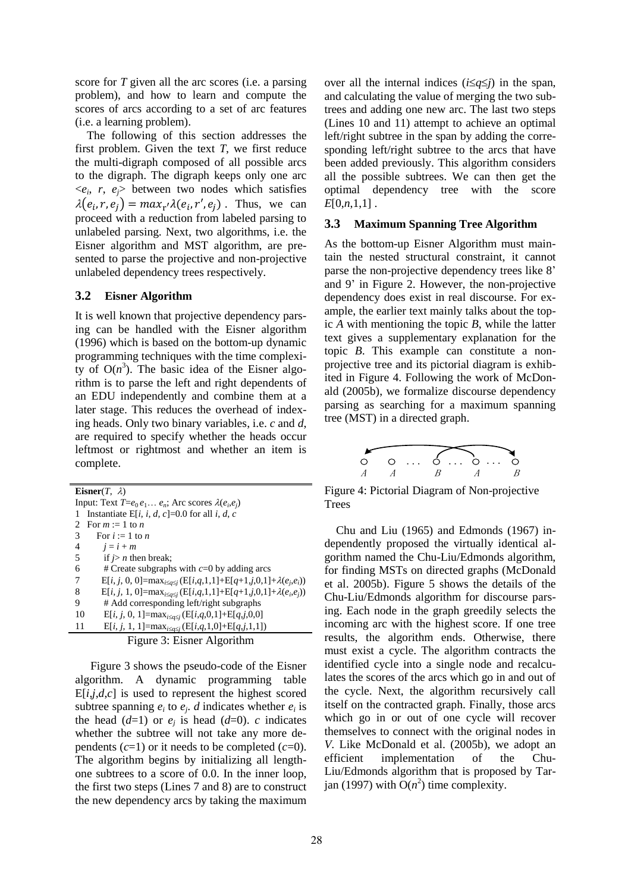score for *T* given all the arc scores (i.e. a parsing problem), and how to learn and compute the scores of arcs according to a set of arc features (i.e. a learning problem).

The following of this section addresses the first problem. Given the text *T*, we first reduce the multi-digraph composed of all possible arcs to the digraph. The digraph keeps only one arc  $\langle e_i, r, e_j \rangle$  between two nodes which satisfies  $\lambda(e_i, r, e_j) = max_{r'} \lambda(e_i, r', e_j)$ . Thus, we can proceed with a reduction from labeled parsing to unlabeled parsing. Next, two algorithms, i.e. the Eisner algorithm and MST algorithm, are presented to parse the projective and non-projective unlabeled dependency trees respectively.

### **3.2 Eisner Algorithm**

It is well known that projective dependency parsing can be handled with the Eisner algorithm (1996) which is based on the bottom-up dynamic programming techniques with the time complexity of  $O(n^3)$ . The basic idea of the Eisner algorithm is to parse the left and right dependents of an EDU independently and combine them at a later stage. This reduces the overhead of indexing heads. Only two binary variables, i.e. *c* and *d*, are required to specify whether the heads occur leftmost or rightmost and whether an item is complete.

**Eisner** $(T, \lambda)$ Input: Text  $T = e_0 e_1 \dots e_n$ ; Arc scores  $\lambda(e_i, e_j)$ 1 Instantiate E[i, i, d, c]=0.0 for all *i*, d, c 2 For  $m := 1$  to  $n$ 3 For  $i := 1$  to *n* 4  $j = i + m$ 5 if  $j > n$  then break; 6  $\#$  Create subgraphs with  $c=0$  by adding arcs 7 E[*i*, *j*, 0, 0]=max<sub>*i* $\leq q \leq j$ </sub> (E[*i*,*q*,1,1]+E[*q*+1,*j*,0,1]+ $\lambda(e_j, e_i)$ ) 8 E[*i*, *j*, 1, 0]= $\max_{i \leq q \leq j} (E[i,q,1,1]+E[q+1,j,0,1]+ \lambda(e_i,e_j))$ 9 # Add corresponding left/right subgraphs 10  $E[i, j, 0, 1] = max_{i \le q \le j} (E[i,q,0,1] + E[q,j,0,0])$ 11  $E[i, j, 1, 1] = max_{i \leq q \leq j} (E[i,q,1,0] + E[q, j,1,1])$ 

|  |  | Figure 3: Eisner Algorithm |
|--|--|----------------------------|
|  |  |                            |

Figure 3 shows the pseudo-code of the Eisner algorithm. A dynamic programming table  $E[i,j,d,c]$  is used to represent the highest scored subtree spanning  $e_i$  to  $e_j$ . *d* indicates whether  $e_i$  is the head  $(d=1)$  or  $e_j$  is head  $(d=0)$ . *c* indicates whether the subtree will not take any more dependents  $(c=1)$  or it needs to be completed  $(c=0)$ . The algorithm begins by initializing all lengthone subtrees to a score of 0.0. In the inner loop, the first two steps (Lines 7 and 8) are to construct the new dependency arcs by taking the maximum

over all the internal indices  $(i \leq q \leq j)$  in the span, and calculating the value of merging the two subtrees and adding one new arc. The last two steps (Lines 10 and 11) attempt to achieve an optimal left/right subtree in the span by adding the corresponding left/right subtree to the arcs that have been added previously. This algorithm considers all the possible subtrees. We can then get the optimal dependency tree with the score *E*[0,*n*,1,1] .

### **3.3 Maximum Spanning Tree Algorithm**

As the bottom-up Eisner Algorithm must maintain the nested structural constraint, it cannot parse the non-projective dependency trees like 8' and 9' in Figure 2. However, the non-projective dependency does exist in real discourse. For example, the earlier text mainly talks about the topic *A* with mentioning the topic *B*, while the latter text gives a supplementary explanation for the topic *B*. This example can constitute a nonprojective tree and its pictorial diagram is exhibited in Figure 4. Following the work of McDonald (2005b), we formalize discourse dependency parsing as searching for a maximum spanning tree (MST) in a directed graph.



Figure 4: Pictorial Diagram of Non-projective Trees

Chu and Liu (1965) and Edmonds (1967) independently proposed the virtually identical algorithm named the Chu-Liu/Edmonds algorithm, for finding MSTs on directed graphs (McDonald et al. 2005b). Figure 5 shows the details of the Chu-Liu/Edmonds algorithm for discourse parsing. Each node in the graph greedily selects the incoming arc with the highest score. If one tree results, the algorithm ends. Otherwise, there must exist a cycle. The algorithm contracts the identified cycle into a single node and recalculates the scores of the arcs which go in and out of the cycle. Next, the algorithm recursively call itself on the contracted graph. Finally, those arcs which go in or out of one cycle will recover themselves to connect with the original nodes in *V*. Like McDonald et al. (2005b), we adopt an efficient implementation of the Chu-Liu/Edmonds algorithm that is proposed by Tarjan (1997) with  $O(n^2)$  time complexity.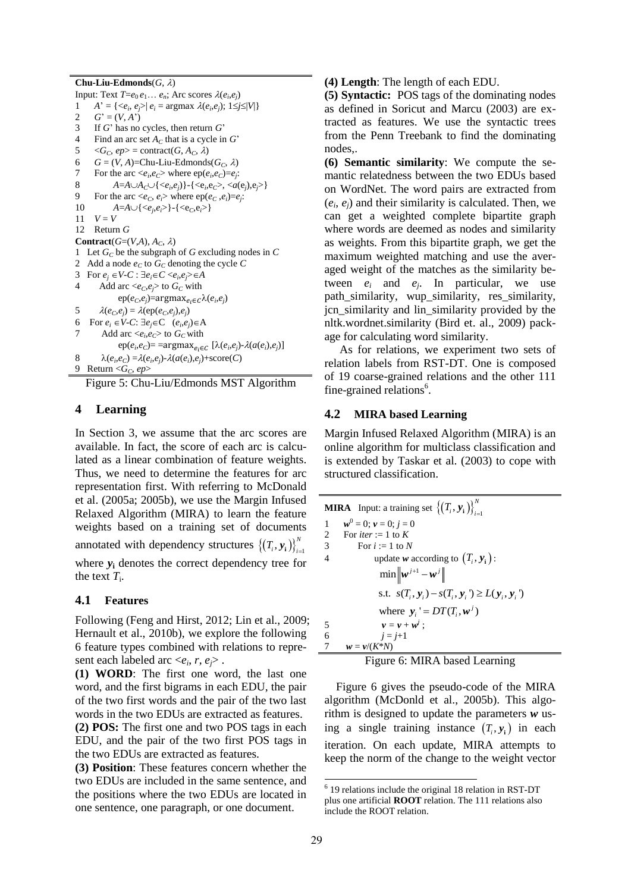**Chu-Liu-Edmonds** $(G, \lambda)$ Input: Text  $T = e_0 e_1 \dots e_n$ ; Arc scores  $\lambda(e_i, e_j)$ 1 *A*<sup> $\prime$ </sup> = {*<e<sub>i</sub>*</sub>, *e<sub>j</sub>*>| *e<sub>i</sub>* = argmax  $\lambda(e_i, e_j)$ ; 1*≤j≤|V|*} 2  $G' = (V, A')$ 3 If *G*' has no cycles, then return *G*' 4 Find an arc set *A<sup>C</sup>* that is a cycle in *G*'  $5 \quad \langle G_C, ep \rangle = \text{contract}(G, A_C, \lambda)$ 6  $G = (V, A)$ =Chu-Liu-Edmonds $(G_C, \lambda)$ <br>7 For the arc  $\leq e, e \geq$  where en $(e, e)$ -exp 7 For the arc  $\langle e_i, e_C \rangle$  where  $ep(e_i, e_C) = e_j$ : 8  $A = A \cup A_c \cup \{ \langle e_i, e_j \rangle \} \cdot \{ \langle e_i, e_c \rangle, \langle a(e_j), e_j \rangle \}$ 9 For the arc  $\langle e_C, e_i \rangle$  where  $ep(e_C, e_i)=e_j$ . 10  $A = A \cup \{\langle e_j, e_i \rangle\} \cdot \{\langle e_C, e_i \rangle\}$  $11 \tV - V$ 12 Return *G* **Contract**( $G=(V,A), A_C, \lambda$ ) 1 Let *G<sup>C</sup>* be the subgraph of *G* excluding nodes in *C* 2 Add a node  $e_C$  to  $G_C$  denoting the cycle  $C$ 3 For  $e_j \in V \text{-} C$ :  $\exists e_i \in C \leq e_i, e_j \geq \in A$ 4 Add arc  $\langle e_C, e_j \rangle$  to  $G_C$  with  $ep(e_C, e_j) = argmax_{e_i \in C} \lambda(e_i, e_j)$ 5  $\lambda(e_C, e_j) = \lambda(\text{ep}(e_C, e_j), e_j)$ 6 For  $e_i \in V$ -*C*:  $\exists e_j \in C \ (e_i, e_j) \in A$ 7 Add arc  $\langle e_i, e_C \rangle$  to  $G_C$  with  $ep(e_i, e_C) = \text{argmax}_{e_i \in C} [\lambda(e_i, e_j) - \lambda(a(e_i), e_j)]$ 8  $\lambda(e_i, e_C) = \lambda(e_i, e_j) - \lambda(a(e_i), e_j) + \text{score}(C)$ 9 Return  $\leq G_C$ , ep>

Figure 5: Chu-Liu/Edmonds MST Algorithm

### **4 Learning**

In Section 3, we assume that the arc scores are available. In fact, the score of each arc is calculated as a linear combination of feature weights. Thus, we need to determine the features for arc representation first. With referring to McDonald et al. (2005a; 2005b), we use the Margin Infused Relaxed Algorithm (MIRA) to learn the feature weights based on a training set of documents annotated with dependency structures  $\left\{ (T_i, y_i) \right\}_{i=1}^N$  $\left[T_i, y_i\right]\right\}_{i=1}^N$ where  $y_i$  denotes the correct dependency tree for the text  $T_i$ .

### **4.1 Features**

Following (Feng and Hirst, 2012; Lin et al., 2009; Hernault et al., 2010b), we explore the following 6 feature types combined with relations to represent each labeled arc  $\langle e_i, r, e_j \rangle$ .

**(1) WORD**: The first one word, the last one word, and the first bigrams in each EDU, the pair of the two first words and the pair of the two last words in the two EDUs are extracted as features.

**(2) POS:** The first one and two POS tags in each EDU, and the pair of the two first POS tags in the two EDUs are extracted as features.

**(3) Position**: These features concern whether the two EDUs are included in the same sentence, and the positions where the two EDUs are located in one sentence, one paragraph, or one document.

**(4) Length**: The length of each EDU.

**(5) Syntactic:** POS tags of the dominating nodes as defined in Soricut and Marcu (2003) are extracted as features. We use the syntactic trees from the Penn Treebank to find the dominating nodes,.

**(6) Semantic similarity**: We compute the semantic relatedness between the two EDUs based on WordNet. The word pairs are extracted from  $(e_i, e_j)$  and their similarity is calculated. Then, we can get a weighted complete bipartite graph where words are deemed as nodes and similarity as weights. From this bipartite graph, we get the maximum weighted matching and use the averaged weight of the matches as the similarity between  $e_i$  and  $e_j$ . In particular, we use path similarity, wup similarity, res similarity, jcn\_similarity and lin\_similarity provided by the nltk.wordnet.similarity (Bird et. al., 2009) package for calculating word similarity.

As for relations, we experiment two sets of relation labels from RST-DT. One is composed of 19 coarse-grained relations and the other 111 fine-grained relations<sup>6</sup>.

## **4.2 MIRA based Learning**

Margin Infused Relaxed Algorithm (MIRA) is an online algorithm for multiclass classification and is extended by Taskar et al. (2003) to cope with structured classification.

|                | <b>MIRA</b> Input: a training set $\{(T_i, y_i)\}_{i=1}^N$        |
|----------------|-------------------------------------------------------------------|
| 1              | $w^0 = 0$ ; $v = 0$ ; $j = 0$                                     |
| 2              | For <i>iter</i> := 1 to K                                         |
| $\overline{3}$ | For $i := 1$ to N                                                 |
| $\overline{4}$ | update w according to $(T_i, y_i)$ :                              |
|                | $\min \left\  \boldsymbol{w}^{j+1} - \boldsymbol{w}^{j} \right\ $ |
|                | s.t. $s(T_i, y_i) - s(T_i, y_i') \ge L(y_i, y_i')$                |
|                | where $y_i' = DT(T_i, w^i)$                                       |
| 5              | $v = v + w^{j}$ :                                                 |
| 6              | $i = i+1$                                                         |
|                | $w = v/(K^*N)$                                                    |

Figure 6: MIRA based Learning

Figure 6 gives the pseudo-code of the MIRA algorithm (McDonld et al., 2005b). This algorithm is designed to update the parameters *w* using a single training instance  $(T_i, y_i)$  in each iteration. On each update, MIRA attempts to keep the norm of the change to the weight vector

<sup>-</sup>6 19 relations include the original 18 relation in RST-DT plus one artificial **ROOT** relation. The 111 relations also include the ROOT relation.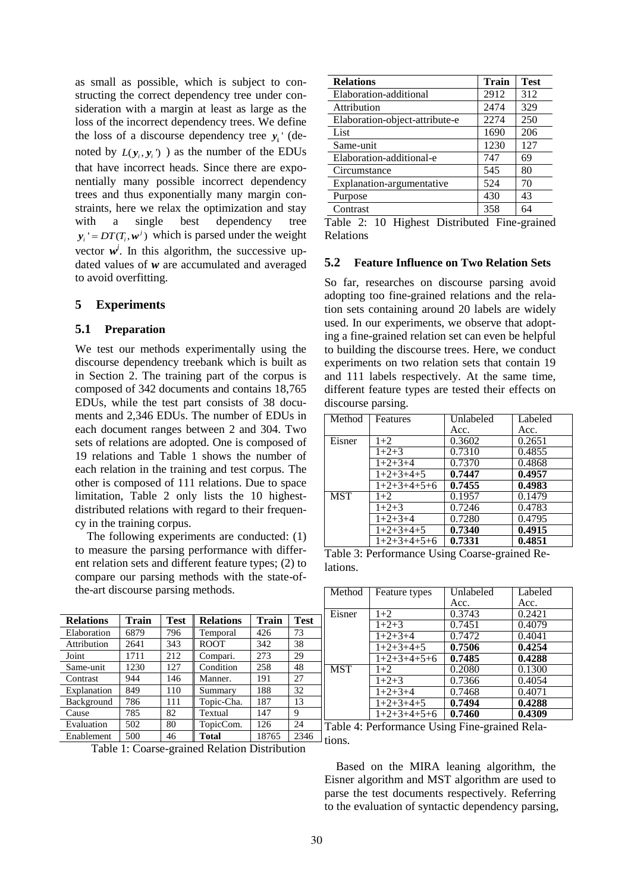as small as possible, which is subject to constructing the correct dependency tree under consideration with a margin at least as large as the loss of the incorrect dependency trees. We define the loss of a discourse dependency tree  $y_i$ <sup>'</sup> (denoted by  $L(y_i, y_i)$  as the number of the EDUs that have incorrect heads. Since there are exponentially many possible incorrect dependency trees and thus exponentially many margin constraints, here we relax the optimization and stay with a single best dependency tree  $y_i' = DT(T_i, w^j)$  which is parsed under the weight vector  $w^j$ . In this algorithm, the successive updated values of *w* are accumulated and averaged to avoid overfitting.

### **5 Experiments**

#### **5.1 Preparation**

We test our methods experimentally using the discourse dependency treebank which is built as in Section 2. The training part of the corpus is composed of 342 documents and contains 18,765 EDUs, while the test part consists of 38 documents and 2,346 EDUs. The number of EDUs in each document ranges between 2 and 304. Two sets of relations are adopted. One is composed of 19 relations and Table 1 shows the number of each relation in the training and test corpus. The other is composed of 111 relations. Due to space limitation, Table 2 only lists the 10 highestdistributed relations with regard to their frequency in the training corpus.

The following experiments are conducted: (1) to measure the parsing performance with different relation sets and different feature types; (2) to compare our parsing methods with the state-ofthe-art discourse parsing methods.

| <b>Relations</b> | Train | <b>Test</b> | <b>Relations</b> | <b>Train</b> | <b>Test</b> |
|------------------|-------|-------------|------------------|--------------|-------------|
| Elaboration      | 6879  | 796         | Temporal         | 426          | 73          |
| Attribution      | 2641  | 343         | <b>ROOT</b>      | 342          | 38          |
| Joint            | 1711  | 212         | Compari.         | 273          | 29          |
| Same-unit        | 1230  | 127         | Condition        | 258          | 48          |
| Contrast         | 944   | 146         | Manner.          | 191          | 27          |
| Explanation      | 849   | 110         | Summary          | 188          | 32          |
| Background       | 786   | 111         | Topic-Cha.       | 187          | 13          |
| Cause            | 785   | 82          | Textual          | 147          | 9           |
| Evaluation       | 502   | 80          | TopicCom.        | 126          | 24          |
| Enablement       | 500   | 46          | <b>Total</b>     | 18765        | 2346        |

Table 1: Coarse-grained Relation Distribution

| <b>Relations</b>               | <b>Train</b> | <b>Test</b> |
|--------------------------------|--------------|-------------|
| Elaboration-additional         | 2912         | 312         |
| Attribution                    | 2474         | 329         |
| Elaboration-object-attribute-e | 2274         | 250         |
| List                           | 1690         | 206         |
| Same-unit                      | 1230         | 127         |
| Elaboration-additional-e       | 747          | 69          |
| Circumstance                   | 545          | 80          |
| Explanation-argumentative      | 524          | 70          |
| Purpose                        | 430          | 43          |
| Contrast                       | 358          | 64          |

Table 2: 10 Highest Distributed Fine-grained Relations

#### **5.2 Feature Influence on Two Relation Sets**

So far, researches on discourse parsing avoid adopting too fine-grained relations and the relation sets containing around 20 labels are widely used. In our experiments, we observe that adopting a fine-grained relation set can even be helpful to building the discourse trees. Here, we conduct experiments on two relation sets that contain 19 and 111 labels respectively. At the same time, different feature types are tested their effects on discourse parsing.

| Method     | Features      | Unlabeled | Labeled |
|------------|---------------|-----------|---------|
|            |               | Acc.      | Acc.    |
| Eisner     | $1+2$         | 0.3602    | 0.2651  |
|            | $1+2+3$       | 0.7310    | 0.4855  |
|            | $1+2+3+4$     | 0.7370    | 0.4868  |
|            | $1+2+3+4+5$   | 0.7447    | 0.4957  |
|            | $1+2+3+4+5+6$ | 0.7455    | 0.4983  |
| <b>MST</b> | $1+2$         | 0.1957    | 0.1479  |
|            | $1+2+3$       | 0.7246    | 0.4783  |
|            | $1+2+3+4$     | 0.7280    | 0.4795  |
|            | $1+2+3+4+5$   | 0.7340    | 0.4915  |
|            | $1+2+3+4+5+6$ | 0.7331    | 0.4851  |

Table 3: Performance Using Coarse-grained Relations.

| Method     | Feature types      | Unlabeled | Labeled |
|------------|--------------------|-----------|---------|
|            |                    | Acc.      | Acc.    |
| Eisner     | $1+2$              | 0.3743    | 0.2421  |
|            | $1+2+3$            | 0.7451    | 0.4079  |
|            | $1+2+3+4$          | 0.7472    | 0.4041  |
|            | $1+2+3+4+5$        | 0.7506    | 0.4254  |
|            | $1+2+3+4+5+6$      | 0.7485    | 0.4288  |
| <b>MST</b> | $1+2$              | 0.2080    | 0.1300  |
|            | $\overline{1}+2+3$ | 0.7366    | 0.4054  |
|            | $1+2+3+4$          | 0.7468    | 0.4071  |
|            | $1+2+3+4+5$        | 0.7494    | 0.4288  |
|            | $1+2+3+4+5+6$      | 0.7460    | 0.4309  |

Table 4: Performance Using Fine-grained Relations.

Based on the MIRA leaning algorithm, the Eisner algorithm and MST algorithm are used to parse the test documents respectively. Referring to the evaluation of syntactic dependency parsing,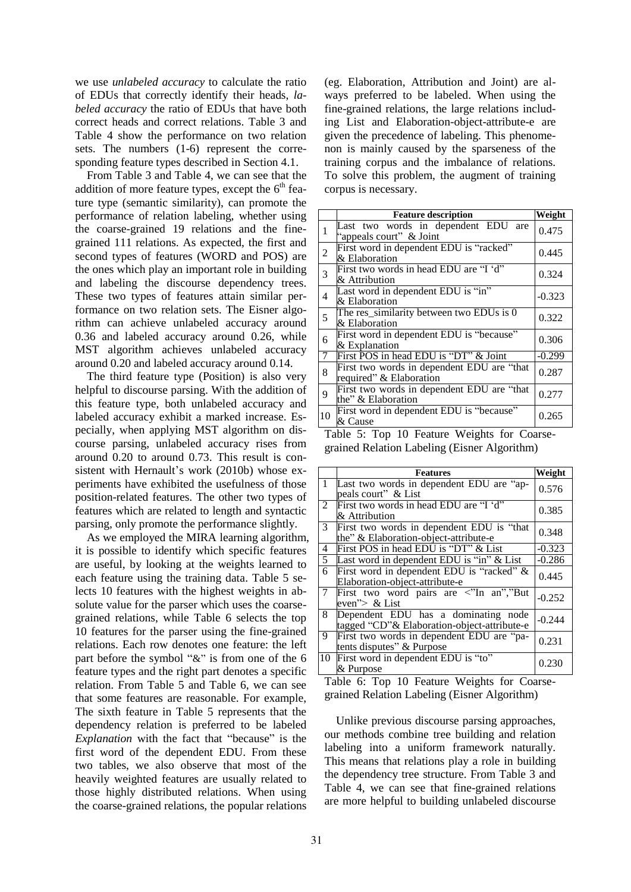we use *unlabeled accuracy* to calculate the ratio of EDUs that correctly identify their heads, *labeled accuracy* the ratio of EDUs that have both correct heads and correct relations. Table 3 and Table 4 show the performance on two relation sets. The numbers (1-6) represent the corresponding feature types described in Section 4.1.

From Table 3 and Table 4, we can see that the addition of more feature types, except the  $6<sup>th</sup>$  feature type (semantic similarity), can promote the performance of relation labeling, whether using the coarse-grained 19 relations and the finegrained 111 relations. As expected, the first and second types of features (WORD and POS) are the ones which play an important role in building and labeling the discourse dependency trees. These two types of features attain similar performance on two relation sets. The Eisner algorithm can achieve unlabeled accuracy around 0.36 and labeled accuracy around 0.26, while MST algorithm achieves unlabeled accuracy around 0.20 and labeled accuracy around 0.14.

The third feature type (Position) is also very helpful to discourse parsing. With the addition of this feature type, both unlabeled accuracy and labeled accuracy exhibit a marked increase. Especially, when applying MST algorithm on discourse parsing, unlabeled accuracy rises from around 0.20 to around 0.73. This result is consistent with Hernault's work (2010b) whose experiments have exhibited the usefulness of those position-related features. The other two types of features which are related to length and syntactic parsing, only promote the performance slightly.

As we employed the MIRA learning algorithm, it is possible to identify which specific features are useful, by looking at the weights learned to each feature using the training data. Table 5 selects 10 features with the highest weights in absolute value for the parser which uses the coarsegrained relations, while Table 6 selects the top 10 features for the parser using the fine-grained relations. Each row denotes one feature: the left part before the symbol "&" is from one of the 6 feature types and the right part denotes a specific relation. From Table 5 and Table 6, we can see that some features are reasonable. For example, The sixth feature in Table 5 represents that the dependency relation is preferred to be labeled *Explanation* with the fact that "because" is the first word of the dependent EDU. From these two tables, we also observe that most of the heavily weighted features are usually related to those highly distributed relations. When using the coarse-grained relations, the popular relations

(eg. Elaboration, Attribution and Joint) are always preferred to be labeled. When using the fine-grained relations, the large relations including List and Elaboration-object-attribute-e are given the precedence of labeling. This phenomenon is mainly caused by the sparseness of the training corpus and the imbalance of relations. To solve this problem, the augment of training corpus is necessary.

|                | <b>Feature description</b>                                            | Weight   |
|----------------|-----------------------------------------------------------------------|----------|
| 1              | Last two words in dependent EDU<br>are<br>"appeals court" & Joint     | 0.475    |
| $\overline{2}$ | First word in dependent EDU is "racked"<br>& Elaboration              | 0.445    |
| 3              | First two words in head EDU are "I 'd"<br>& Attribution               | 0.324    |
| 4              | Last word in dependent EDU is "in"<br>& Elaboration                   | $-0.323$ |
| 5              | The res_similarity between two EDUs is 0<br>& Elaboration             | 0.322    |
| 6              | First word in dependent EDU is "because"<br>& Explanation             | 0.306    |
| 7              | First POS in head EDU is "DT" & Joint                                 | $-0.299$ |
| 8              | First two words in dependent EDU are "that<br>required" & Elaboration | 0.287    |
| 9              | First two words in dependent EDU are "that<br>the" & Elaboration      | 0.277    |
| 10             | First word in dependent EDU is "because"<br>& Cause                   | 0.265    |

Table 5: Top 10 Feature Weights for Coarsegrained Relation Labeling (Eisner Algorithm)

|                | <b>Features</b>                                                                     | Weight   |
|----------------|-------------------------------------------------------------------------------------|----------|
| 1              | Last two words in dependent EDU are "ap-<br>peals court" & List                     | 0.576    |
| 2              | First two words in head EDU are "I 'd"<br>& Attribution                             | 0.385    |
| 3 <sup>7</sup> | First two words in dependent EDU is "that<br>the" & Elaboration-object-attribute-e  | 0.348    |
| 4              | First POS in head EDU is "DT" & List                                                | $-0.323$ |
| 5              | Last word in dependent EDU is $\overline{u}$ in" & List                             | $-0.286$ |
| 6              | First word in dependent EDU is "racked" &<br>Elaboration-object-attribute-e         | 0.445    |
| $\tau$         | First two word pairs are <"In an","But<br>even"> & List                             | $-0.252$ |
| 8              | Dependent EDU has a dominating node<br>tagged "CD" & Elaboration-object-attribute-e | $-0.244$ |
| 9              | First two words in dependent EDU are "pa-<br>tents disputes" & Purpose              | 0.231    |
| 10             | First word in dependent EDU is "to"<br>& Purpose                                    | 0.230    |

Table 6: Top 10 Feature Weights for Coarsegrained Relation Labeling (Eisner Algorithm)

Unlike previous discourse parsing approaches, our methods combine tree building and relation labeling into a uniform framework naturally. This means that relations play a role in building the dependency tree structure. From Table 3 and Table 4, we can see that fine-grained relations are more helpful to building unlabeled discourse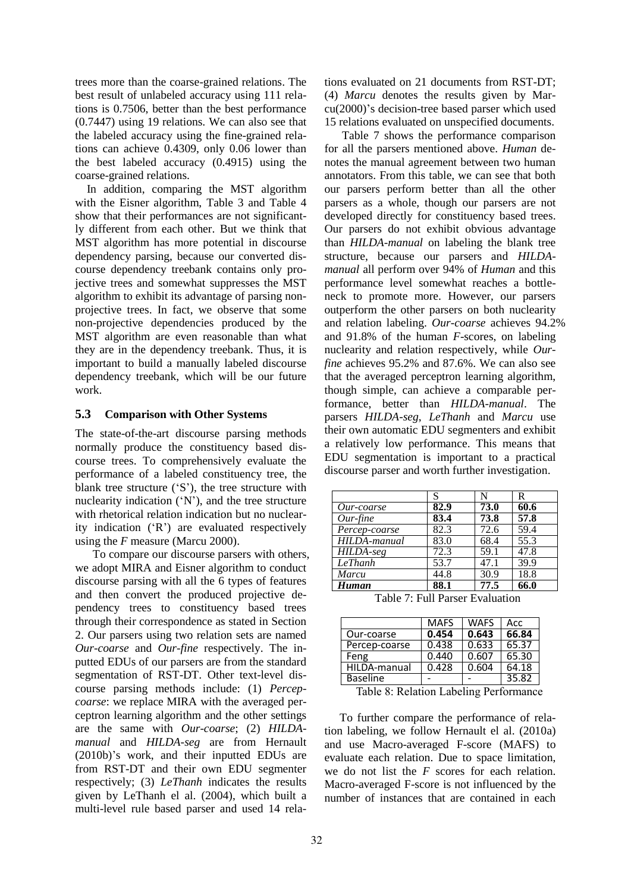trees more than the coarse-grained relations. The best result of unlabeled accuracy using 111 relations is 0.7506, better than the best performance (0.7447) using 19 relations. We can also see that the labeled accuracy using the fine-grained relations can achieve 0.4309, only 0.06 lower than the best labeled accuracy (0.4915) using the coarse-grained relations.

In addition, comparing the MST algorithm with the Eisner algorithm, Table 3 and Table 4 show that their performances are not significantly different from each other. But we think that MST algorithm has more potential in discourse dependency parsing, because our converted discourse dependency treebank contains only projective trees and somewhat suppresses the MST algorithm to exhibit its advantage of parsing nonprojective trees. In fact, we observe that some non-projective dependencies produced by the MST algorithm are even reasonable than what they are in the dependency treebank. Thus, it is important to build a manually labeled discourse dependency treebank, which will be our future work.

### **5.3 Comparison with Other Systems**

The state-of-the-art discourse parsing methods normally produce the constituency based discourse trees. To comprehensively evaluate the performance of a labeled constituency tree, the blank tree structure ('S'), the tree structure with nuclearity indication ('N'), and the tree structure with rhetorical relation indication but no nuclearity indication ('R') are evaluated respectively using the *F* measure (Marcu 2000).

To compare our discourse parsers with others, we adopt MIRA and Eisner algorithm to conduct discourse parsing with all the 6 types of features and then convert the produced projective dependency trees to constituency based trees through their correspondence as stated in Section 2. Our parsers using two relation sets are named *Our-coarse* and *Our-fine* respectively. The inputted EDUs of our parsers are from the standard segmentation of RST-DT. Other text-level discourse parsing methods include: (1) *Percepcoarse*: we replace MIRA with the averaged perceptron learning algorithm and the other settings are the same with *Our-coarse*; (2) *HILDAmanual* and *HILDA-seg* are from Hernault (2010b)'s work, and their inputted EDUs are from RST-DT and their own EDU segmenter respectively; (3) *LeThanh* indicates the results given by LeThanh el al. (2004), which built a multi-level rule based parser and used 14 relations evaluated on 21 documents from RST-DT; (4) *Marcu* denotes the results given by Marcu(2000)'s decision-tree based parser which used 15 relations evaluated on unspecified documents.

Table 7 shows the performance comparison for all the parsers mentioned above. *Human* denotes the manual agreement between two human annotators. From this table, we can see that both our parsers perform better than all the other parsers as a whole, though our parsers are not developed directly for constituency based trees. Our parsers do not exhibit obvious advantage than *HILDA-manual* on labeling the blank tree structure, because our parsers and *HILDAmanual* all perform over 94% of *Human* and this performance level somewhat reaches a bottleneck to promote more. However, our parsers outperform the other parsers on both nuclearity and relation labeling. *Our-coarse* achieves 94.2% and 91.8% of the human *F*-scores, on labeling nuclearity and relation respectively, while *Ourfine* achieves 95.2% and 87.6%. We can also see that the averaged perceptron learning algorithm, though simple, can achieve a comparable performance, better than *HILDA-manual*. The parsers *HILDA-seg*, *LeThanh* and *Marcu* use their own automatic EDU segmenters and exhibit a relatively low performance. This means that EDU segmentation is important to a practical discourse parser and worth further investigation.

|                      | S    | N    | $\mathbf R$ |
|----------------------|------|------|-------------|
| Our-coarse           | 82.9 | 73.0 | 60.6        |
| $Our$ -fine          | 83.4 | 73.8 | 57.8        |
| Percep-coarse        | 82.3 | 72.6 | 59.4        |
| HILDA-manual         | 83.0 | 68.4 | 55.3        |
| $HILDA-seg$          | 72.3 | 59.1 | 47.8        |
| $\overline{LeThanh}$ | 53.7 | 47.1 | 39.9        |
| Marcu                | 44.8 | 30.9 | 18.8        |
| Human                | 88.1 | 77.5 | 66.0        |

Table 7: Full Parser Evaluation

| <b>MAFS</b> | <b>WAFS</b>                                              | Acc                         |
|-------------|----------------------------------------------------------|-----------------------------|
| 0.454       | 0.643                                                    | 66.84                       |
| 0.438       | 0.633                                                    | 65.37                       |
| 0.440       | 0.607                                                    | 65.30                       |
| 0.428       | 0.604                                                    | 64.18                       |
|             |                                                          | 35.82                       |
|             | $-11$ $\alpha$ $-1$ $\beta$<br>$\mathbf{r}$ $\mathbf{r}$ | $\cdot$<br>$\sim$<br>$\sim$ |

Table 8: Relation Labeling Performance

To further compare the performance of relation labeling, we follow Hernault el al. (2010a) and use Macro-averaged F-score (MAFS) to evaluate each relation. Due to space limitation, we do not list the *F* scores for each relation. Macro-averaged F-score is not influenced by the number of instances that are contained in each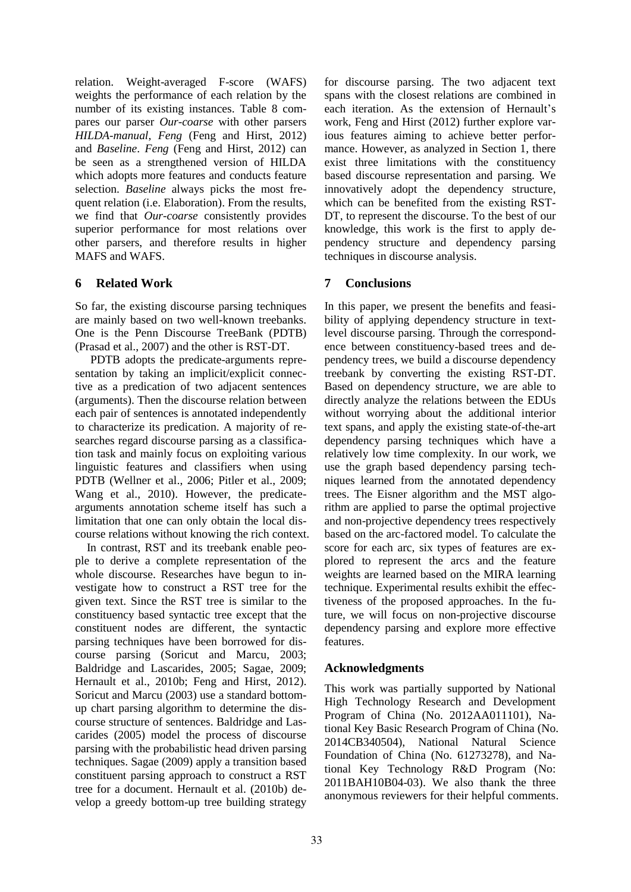relation. Weight-averaged F-score (WAFS) weights the performance of each relation by the number of its existing instances. Table 8 compares our parser *Our-coarse* with other parsers *HILDA-manual*, *Feng* (Feng and Hirst, 2012) and *Baseline*. *Feng* (Feng and Hirst, 2012) can be seen as a strengthened version of HILDA which adopts more features and conducts feature selection. *Baseline* always picks the most frequent relation (i.e. Elaboration). From the results, we find that *Our-coarse* consistently provides superior performance for most relations over other parsers, and therefore results in higher MAFS and WAFS.

# **6 Related Work**

So far, the existing discourse parsing techniques are mainly based on two well-known treebanks. One is the Penn Discourse TreeBank (PDTB) (Prasad et al., 2007) and the other is RST-DT.

PDTB adopts the predicate-arguments representation by taking an implicit/explicit connective as a predication of two adjacent sentences (arguments). Then the discourse relation between each pair of sentences is annotated independently to characterize its predication. A majority of researches regard discourse parsing as a classification task and mainly focus on exploiting various linguistic features and classifiers when using PDTB (Wellner et al., 2006; Pitler et al., 2009; Wang et al., 2010). However, the predicatearguments annotation scheme itself has such a limitation that one can only obtain the local discourse relations without knowing the rich context.

In contrast, RST and its treebank enable people to derive a complete representation of the whole discourse. Researches have begun to investigate how to construct a RST tree for the given text. Since the RST tree is similar to the constituency based syntactic tree except that the constituent nodes are different, the syntactic parsing techniques have been borrowed for discourse parsing (Soricut and Marcu, 2003; Baldridge and Lascarides, 2005; Sagae, 2009; Hernault et al., 2010b; Feng and Hirst, 2012). Soricut and Marcu (2003) use a standard bottomup chart parsing algorithm to determine the discourse structure of sentences. Baldridge and Lascarides (2005) model the process of discourse parsing with the probabilistic head driven parsing techniques. Sagae (2009) apply a transition based constituent parsing approach to construct a RST tree for a document. Hernault et al. (2010b) develop a greedy bottom-up tree building strategy

for discourse parsing. The two adjacent text spans with the closest relations are combined in each iteration. As the extension of Hernault's work, Feng and Hirst (2012) further explore various features aiming to achieve better performance. However, as analyzed in Section 1, there exist three limitations with the constituency based discourse representation and parsing. We innovatively adopt the dependency structure, which can be benefited from the existing RST-DT, to represent the discourse. To the best of our knowledge, this work is the first to apply dependency structure and dependency parsing techniques in discourse analysis.

# **7 Conclusions**

In this paper, we present the benefits and feasibility of applying dependency structure in textlevel discourse parsing. Through the correspondence between constituency-based trees and dependency trees, we build a discourse dependency treebank by converting the existing RST-DT. Based on dependency structure, we are able to directly analyze the relations between the EDUs without worrying about the additional interior text spans, and apply the existing state-of-the-art dependency parsing techniques which have a relatively low time complexity. In our work, we use the graph based dependency parsing techniques learned from the annotated dependency trees. The Eisner algorithm and the MST algorithm are applied to parse the optimal projective and non-projective dependency trees respectively based on the arc-factored model. To calculate the score for each arc, six types of features are explored to represent the arcs and the feature weights are learned based on the MIRA learning technique. Experimental results exhibit the effectiveness of the proposed approaches. In the future, we will focus on non-projective discourse dependency parsing and explore more effective features.

## **Acknowledgments**

This work was partially supported by National High Technology Research and Development Program of China (No. 2012AA011101), National Key Basic Research Program of China (No. 2014CB340504), National Natural Science Foundation of China (No. 61273278), and National Key Technology R&D Program (No: 2011BAH10B04-03). We also thank the three anonymous reviewers for their helpful comments.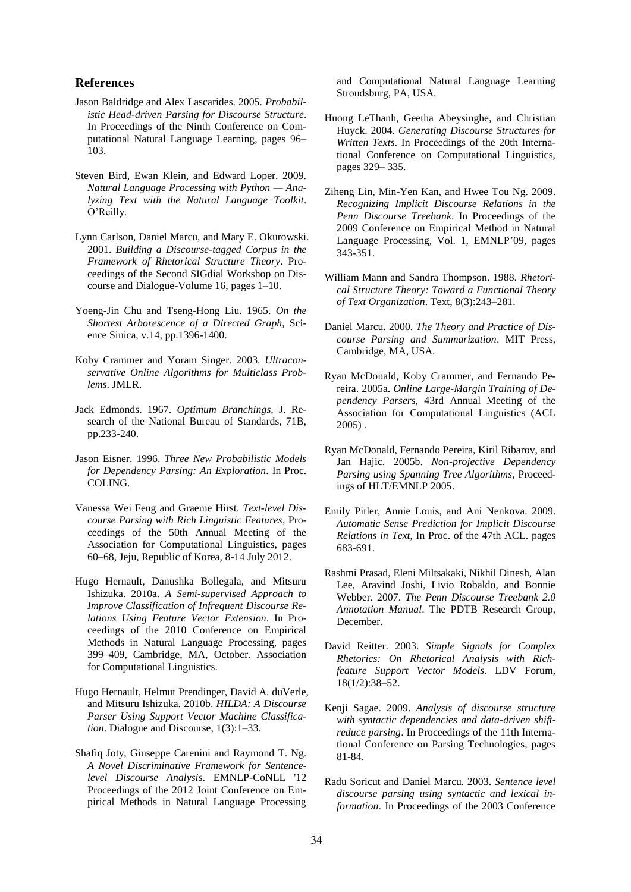### **References**

- Jason Baldridge and Alex Lascarides. 2005. *Probabilistic Head-driven Parsing for Discourse Structure*. In Proceedings of the Ninth Conference on Computational Natural Language Learning, pages 96– 103.
- Steven Bird, Ewan Klein, and Edward Loper. 2009. *Natural Language Processing with Python — Analyzing Text with the Natural Language Toolkit*. O'Reilly.
- Lynn Carlson, Daniel Marcu, and Mary E. Okurowski. 2001. *Building a Discourse-tagged Corpus in the Framework of Rhetorical Structure Theory*. Proceedings of the Second SIGdial Workshop on Discourse and Dialogue-Volume 16, pages 1–10.
- Yoeng-Jin Chu and Tseng-Hong Liu. 1965. *On the Shortest Arborescence of a Directed Graph,* Science Sinica, v.14, pp.1396-1400.
- Koby Crammer and Yoram Singer. 2003. *Ultraconservative Online Algorithms for Multiclass Problems*. JMLR.
- Jack Edmonds. 1967. *Optimum Branchings*, J. Research of the National Bureau of Standards, 71B, pp.233-240.
- Jason Eisner. 1996. *Three New Probabilistic Models for Dependency Parsing: An Exploration*. In Proc. COLING.
- Vanessa Wei Feng and Graeme Hirst. *Text-level Discourse Parsing with Rich Linguistic Features*, Proceedings of the 50th Annual Meeting of the Association for Computational Linguistics, pages 60–68, Jeju, Republic of Korea, 8-14 July 2012.
- Hugo Hernault, Danushka Bollegala, and Mitsuru Ishizuka. 2010a. *A Semi-supervised Approach to Improve Classification of Infrequent Discourse Relations Using Feature Vector Extension*. In Proceedings of the 2010 Conference on Empirical Methods in Natural Language Processing, pages 399–409, Cambridge, MA, October. Association for Computational Linguistics.
- Hugo Hernault, Helmut Prendinger, David A. duVerle, and Mitsuru Ishizuka. 2010b. *HILDA: A Discourse Parser Using Support Vector Machine Classification*. Dialogue and Discourse, 1(3):1–33.
- Shafiq Joty, Giuseppe Carenini and Raymond T. Ng. *A Novel Discriminative Framework for Sentencelevel Discourse Analysis*. EMNLP-CoNLL '12 Proceedings of the 2012 Joint Conference on Empirical Methods in Natural Language Processing

and Computational Natural Language Learning Stroudsburg, PA, USA.

- Huong LeThanh, Geetha Abeysinghe, and Christian Huyck. 2004. *Generating Discourse Structures for Written Texts*. In Proceedings of the 20th International Conference on Computational Linguistics, pages 329– 335.
- Ziheng Lin, Min-Yen Kan, and Hwee Tou Ng. 2009. *Recognizing Implicit Discourse Relations in the Penn Discourse Treebank*. In Proceedings of the 2009 Conference on Empirical Method in Natural Language Processing, Vol. 1, EMNLP'09, pages 343-351.
- William Mann and Sandra Thompson. 1988. *Rhetorical Structure Theory: Toward a Functional Theory of Text Organization*. Text, 8(3):243–281.
- Daniel Marcu. 2000. *The Theory and Practice of Discourse Parsing and Summarization*. MIT Press, Cambridge, MA, USA.
- Ryan McDonald, Koby Crammer, and Fernando Pereira. 2005a. *Online Large-Margin Training of Dependency Parsers*, 43rd Annual Meeting of the Association for Computational Linguistics (ACL 2005) .
- Ryan McDonald, Fernando Pereira, Kiril Ribarov, and Jan Hajic. 2005b. *Non-projective Dependency Parsing using Spanning Tree Algorithms*, Proceedings of HLT/EMNLP 2005.
- Emily Pitler, Annie Louis, and Ani Nenkova. 2009. *Automatic Sense Prediction for Implicit Discourse Relations in Text*, In Proc. of the 47th ACL. pages 683-691.
- Rashmi Prasad, Eleni Miltsakaki, Nikhil Dinesh, Alan Lee, Aravind Joshi, Livio Robaldo, and Bonnie Webber. 2007. *The Penn Discourse Treebank 2.0 Annotation Manual*. The PDTB Research Group, December.
- David Reitter. 2003. *Simple Signals for Complex Rhetorics: On Rhetorical Analysis with Richfeature Support Vector Models*. LDV Forum, 18(1/2):38–52.
- Kenji Sagae. 2009. *Analysis of discourse structure with syntactic dependencies and data-driven shiftreduce parsing*. In Proceedings of the 11th International Conference on Parsing Technologies, pages 81-84.
- Radu Soricut and Daniel Marcu. 2003. *Sentence level discourse parsing using syntactic and lexical information*. In Proceedings of the 2003 Conference